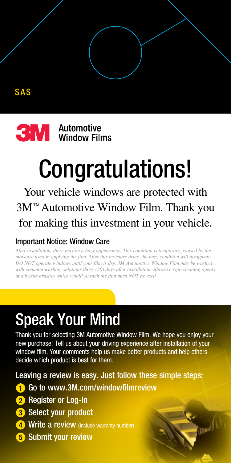

## Congratulations!

Your vehicle windows are protected with 3M™ Automotive Window Film. Thank you for making this investment in your vehicle.

## Important Notice: Window Care

*After installation, there may be a hazy appearance. This condition is temporary, caused by the moisture used in applying the film. After this moisture dries, the hazy condition will disappear. Do not operate windows until your film is dry. 3M Automotive Window Film may be washed with common washing solutions thirty (30) days after installation. Abrasive type cleaning agents*  and bristle brushes which would scratch the film must NOT be used.

## Speak Your Mind

Thank you for selecting 3M Automotive Window Film. We hope you enjoy your new purchase! Tell us about your driving experience after installation of your window film. Your comments help us make better products and help others decide which product is best for them.

Leaving a review is easy. Just follow these simple steps:

- 1 Go to www.3M.com/windowfilmreview
- 2 Register or Log-In
- 3 Select your product
- 4 Write a review (Include warranty number)
- 5 Submit your review